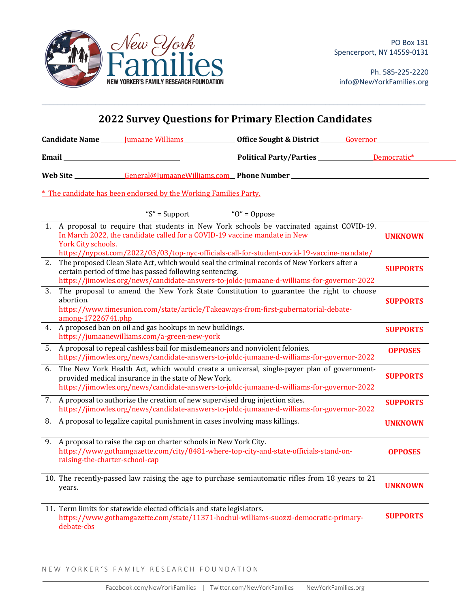

Ph. 585-225-2220 info@NewYorkFamilies.org

| <b>2022 Survey Questions for Primary Election Candidates</b> |                                                                                                                                                                                                                  |                                                                              |                                                                                                                                                                                          |                 |
|--------------------------------------------------------------|------------------------------------------------------------------------------------------------------------------------------------------------------------------------------------------------------------------|------------------------------------------------------------------------------|------------------------------------------------------------------------------------------------------------------------------------------------------------------------------------------|-----------------|
| Candidate Name _______ Jumaane Williams                      |                                                                                                                                                                                                                  |                                                                              | Office Sought & District Governor                                                                                                                                                        |                 |
|                                                              |                                                                                                                                                                                                                  |                                                                              | Political Party/Parties ______________ Democratic*                                                                                                                                       |                 |
|                                                              |                                                                                                                                                                                                                  |                                                                              |                                                                                                                                                                                          |                 |
|                                                              |                                                                                                                                                                                                                  | * The candidate has been endorsed by the Working Families Party.             |                                                                                                                                                                                          |                 |
|                                                              |                                                                                                                                                                                                                  | " $S$ " = Support                                                            | " $O$ " = Oppose                                                                                                                                                                         |                 |
|                                                              | York City schools.                                                                                                                                                                                               | In March 2022, the candidate called for a COVID-19 vaccine mandate in New    | 1. A proposal to require that students in New York schools be vaccinated against COVID-19.<br>https://nypost.com/2022/03/03/top-nyc-officials-call-for-student-covid-19-vaccine-mandate/ | <b>UNKNOWN</b>  |
| 2.                                                           |                                                                                                                                                                                                                  | certain period of time has passed following sentencing.                      | The proposed Clean Slate Act, which would seal the criminal records of New Yorkers after a<br>https://jimowles.org/news/candidate-answers-to-joldc-jumaane-d-williams-for-governor-2022  | <b>SUPPORTS</b> |
| 3.                                                           | The proposal to amend the New York State Constitution to guarantee the right to choose<br>abortion.<br>https://www.timesunion.com/state/article/Takeaways-from-first-gubernatorial-debate-<br>among-17226741.php |                                                                              |                                                                                                                                                                                          | <b>SUPPORTS</b> |
| 4.                                                           | A proposed ban on oil and gas hookups in new buildings.<br>https://jumaanewilliams.com/a-green-new-york                                                                                                          |                                                                              |                                                                                                                                                                                          | <b>SUPPORTS</b> |
| 5.                                                           |                                                                                                                                                                                                                  | A proposal to repeal cashless bail for misdemeanors and nonviolent felonies. | https://jimowles.org/news/candidate-answers-to-joldc-jumaane-d-williams-for-governor-2022                                                                                                | <b>OPPOSES</b>  |
| 6.                                                           |                                                                                                                                                                                                                  | provided medical insurance in the state of New York.                         | The New York Health Act, which would create a universal, single-payer plan of government-<br>https://jimowles.org/news/candidate-answers-to-joldc-jumaane-d-williams-for-governor-2022   | <b>SUPPORTS</b> |
| 7.                                                           |                                                                                                                                                                                                                  | A proposal to authorize the creation of new supervised drug injection sites. | https://jimowles.org/news/candidate-answers-to-joldc-jumaane-d-williams-for-governor-2022                                                                                                | <b>SUPPORTS</b> |
| 8.                                                           |                                                                                                                                                                                                                  | A proposal to legalize capital punishment in cases involving mass killings.  |                                                                                                                                                                                          | <b>UNKNOWN</b>  |
| 9.                                                           | raising-the-charter-school-cap                                                                                                                                                                                   | A proposal to raise the cap on charter schools in New York City.             | https://www.gothamgazette.com/city/8481-where-top-city-and-state-officials-stand-on-                                                                                                     | <b>OPPOSES</b>  |
|                                                              | years.                                                                                                                                                                                                           |                                                                              | 10. The recently-passed law raising the age to purchase semiautomatic rifles from 18 years to 21                                                                                         | <b>UNKNOWN</b>  |
|                                                              | debate-cbs                                                                                                                                                                                                       | 11. Term limits for statewide elected officials and state legislators.       | https://www.gothamgazette.com/state/11371-hochul-williams-suozzi-democratic-primary-                                                                                                     | <b>SUPPORTS</b> |

 $\mathcal{L}_\mathcal{L} = \mathcal{L}_\mathcal{L} = \mathcal{L}_\mathcal{L} = \mathcal{L}_\mathcal{L} = \mathcal{L}_\mathcal{L} = \mathcal{L}_\mathcal{L} = \mathcal{L}_\mathcal{L} = \mathcal{L}_\mathcal{L} = \mathcal{L}_\mathcal{L} = \mathcal{L}_\mathcal{L} = \mathcal{L}_\mathcal{L} = \mathcal{L}_\mathcal{L} = \mathcal{L}_\mathcal{L} = \mathcal{L}_\mathcal{L} = \mathcal{L}_\mathcal{L} = \mathcal{L}_\mathcal{L} = \mathcal{L}_\mathcal{L}$ 

NEW YORKER'S FAMILY RESEARCH FOUNDATION